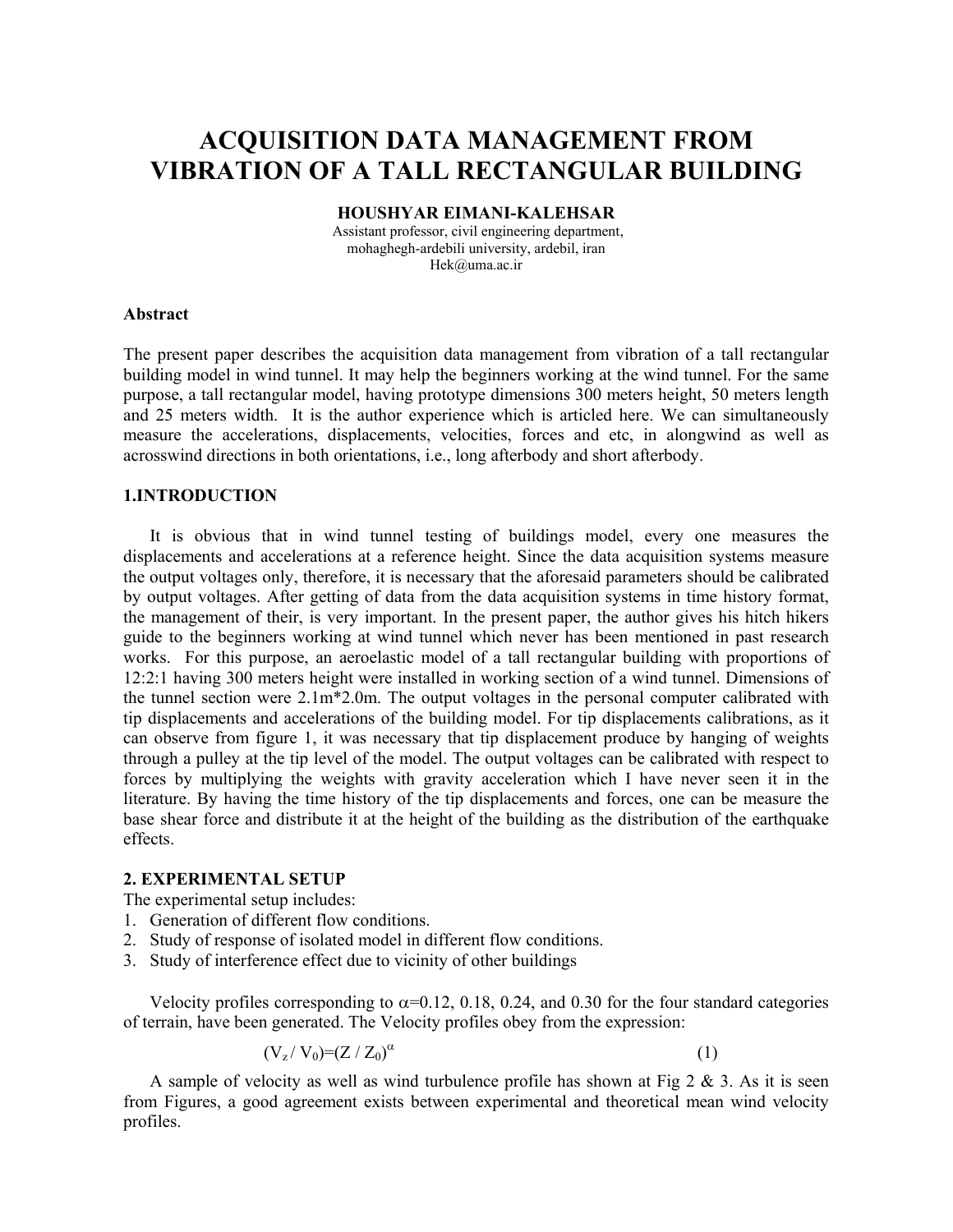# **ACQUISITION DATA MANAGEMENT FROM VIBRATION OF A TALL RECTANGULAR BUILDING**

**HOUSHYAR EIMANI-KALEHSAR** 

Assistant professor, civil engineering department, mohaghegh-ardebili university, ardebil, iran Hek@uma.ac.ir

#### **Abstract**

The present paper describes the acquisition data management from vibration of a tall rectangular building model in wind tunnel. It may help the beginners working at the wind tunnel. For the same purpose, a tall rectangular model, having prototype dimensions 300 meters height, 50 meters length and 25 meters width. It is the author experience which is articled here. We can simultaneously measure the accelerations, displacements, velocities, forces and etc, in alongwind as well as acrosswind directions in both orientations, i.e., long afterbody and short afterbody.

## **1.INTRODUCTION**

It is obvious that in wind tunnel testing of buildings model, every one measures the displacements and accelerations at a reference height. Since the data acquisition systems measure the output voltages only, therefore, it is necessary that the aforesaid parameters should be calibrated by output voltages. After getting of data from the data acquisition systems in time history format, the management of their, is very important. In the present paper, the author gives his hitch hikers guide to the beginners working at wind tunnel which never has been mentioned in past research works. For this purpose, an aeroelastic model of a tall rectangular building with proportions of 12.2.1 having 300 meters height were installed in working section of a wind tunnel. Dimensions of the tunnel section were  $2.1m*2.0m$ . The output voltages in the personal computer calibrated with tip displacements and accelerations of the building model. For tip displacements calibrations, as it can observe from figure 1, it was necessary that tip displacement produce by hanging of weights through a pulley at the tip level of the model. The output voltages can be calibrated with respect to forces by multiplying the weights with gravity acceleration which I have never seen it in the literature. By having the time history of the tip displacements and forces, one can be measure the base shear force and distribute it at the height of the building as the distribution of the earthquake effects

#### 2. EXPERIMENTAL SETUP

The experimental setup includes:

- 1. Generation of different flow conditions.
- 2. Study of response of isolated model in different flow conditions.
- 3. Study of interference effect due to vicinity of other buildings

Velocity profiles corresponding to  $\alpha$ =0.12, 0.18, 0.24, and 0.30 for the four standard categories of terrain, have been generated. The Velocity profiles obey from the expression:

$$
(V_z/V_0)=(Z/Z_0)^{\alpha}
$$

 $(1)$ 

A sample of velocity as well as wind turbulence profile has shown at Fig 2 & 3. As it is seen from Figures, a good agreement exists between experimental and theoretical mean wind velocity profiles.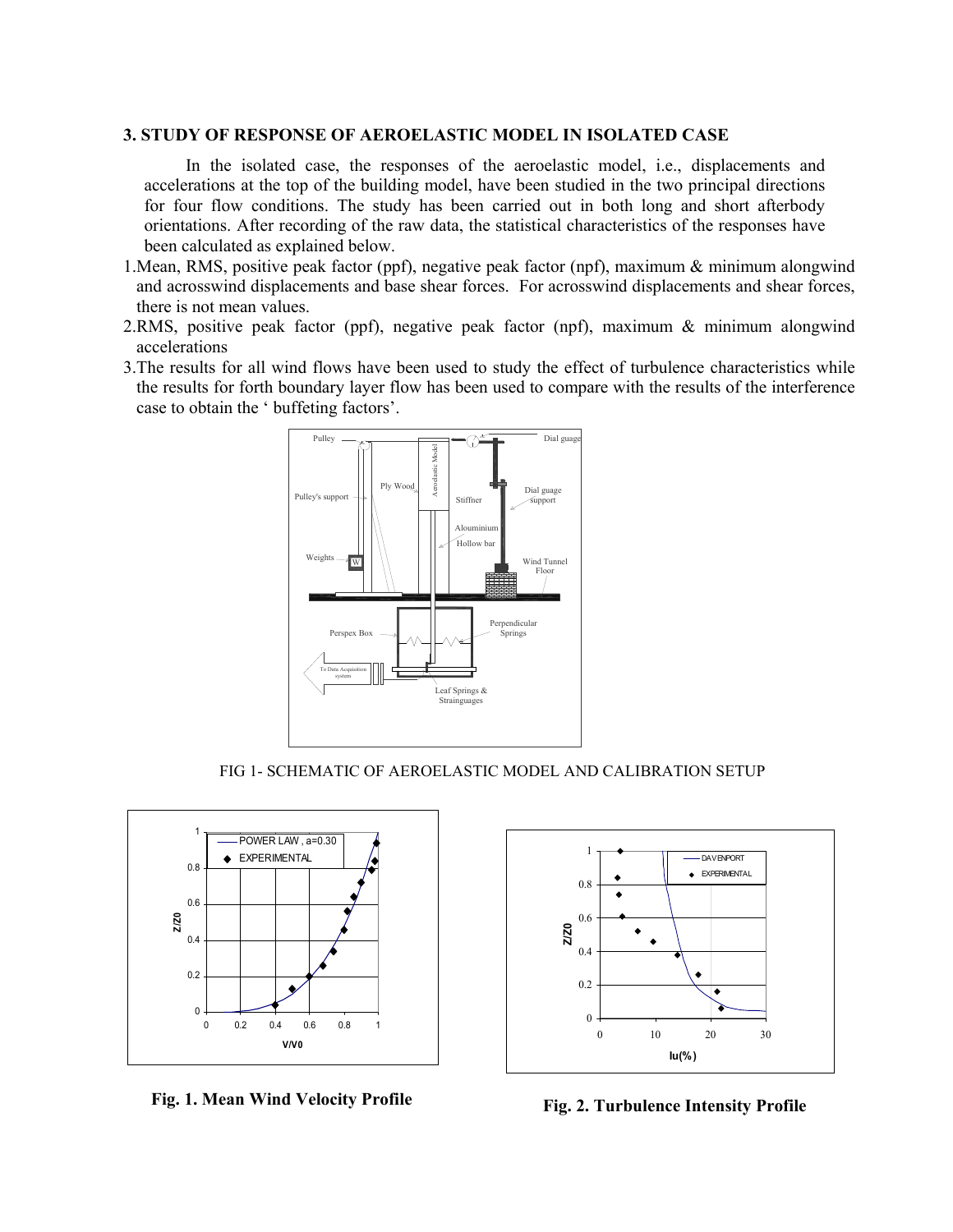#### **3. STUDY OF RESPONSE OF AEROELASTIC MODEL IN ISOLATED CASE**

In the isolated case, the responses of the aeroelastic model, i.e., displacements and accelerations at the top of the building model, have been studied in the two principal directions for four flow conditions. The study has been carried out in both long and short afterbody orientations. After recording of the raw data, the statistical characteristics of the responses have been calculated as explained below.

- 1. Mean, RMS, positive peak factor (ppf), negative peak factor (npf), maximum & minimum alongwind and acrosswind displacements and base shear forces. For acrosswind displacements and shear forces, there is not mean values.
- 2.RMS, positive peak factor (ppf), negative peak factor (npf), maximum & minimum alongwind accelerations
- 3. The results for all wind flows have been used to study the effect of turbulence characteristics while the results for forth boundary layer flow has been used to compare with the results of the interference case to obtain the 'buffeting factors'.



FIG 1- SCHEMATIC OF AEROELASTIC MODEL AND CALIBRATION SETUP



Fig. 1. Mean Wind Velocity Profile



Fig. 2. Turbulence Intensity Profile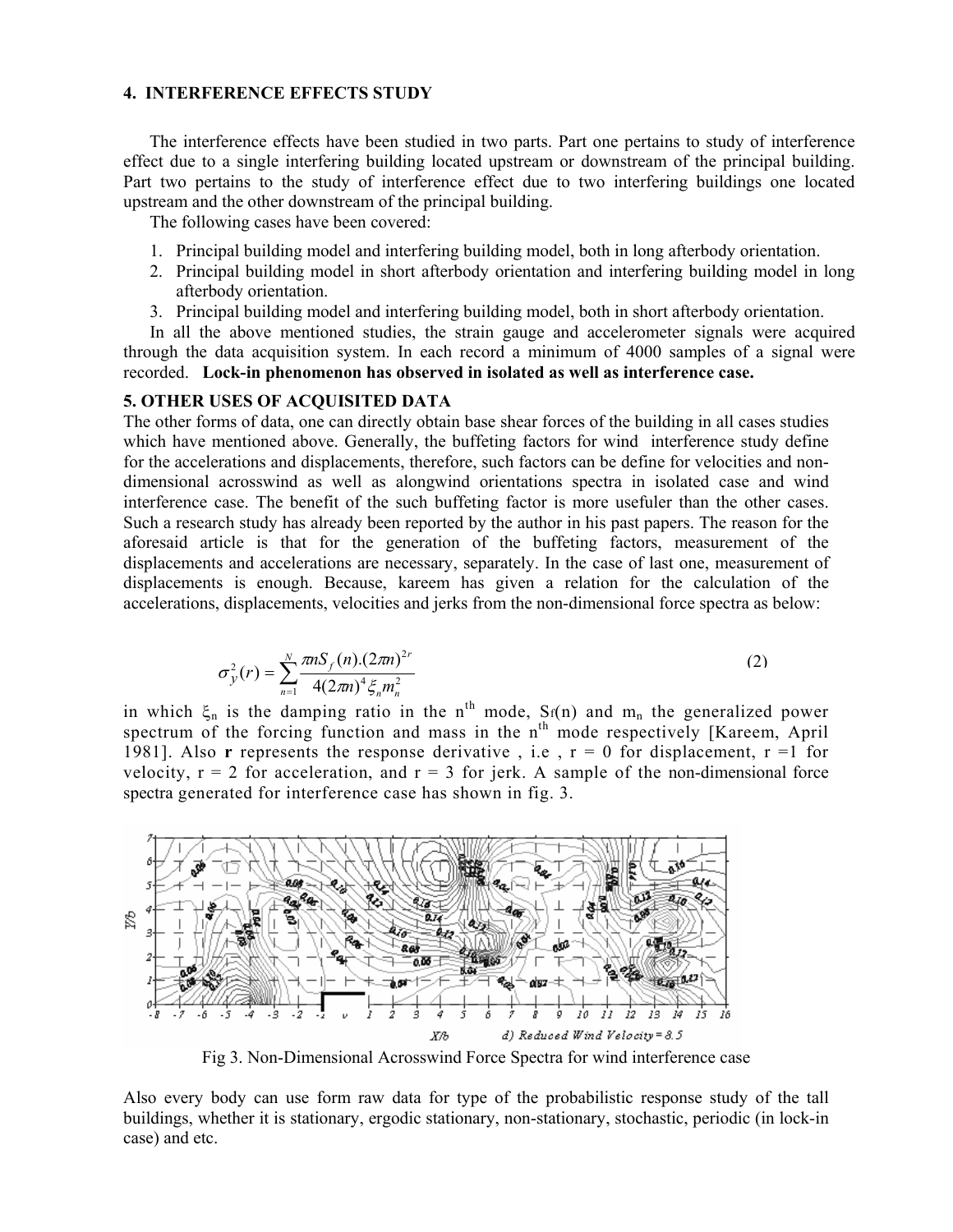### **4. INTERFERENCE EFFECTS STUDY**

The interference effects have been studied in two parts. Part one pertains to study of interference effect due to a single interfering building located upstream or downstream of the principal building. Part two pertains to the study of interference effect due to two interfering buildings one located upstream and the other downstream of the principal building.

The following cases have been covered:

- 1. Principal building model and interfering building model, both in long afterbody orientation.
- 2. Principal building model in short afterbody orientation and interfering building model in long afterbody orientation.
- 3. Principal building model and interfering building model, both in short afterbody orientation.

In all the above mentioned studies, the strain gauge and accelerometer signals were acquired through the data acquisition system. In each record a minimum of 4000 samples of a signal were recorded. Lock-in phenomenon has observed in isolated as well as interference case.

## 5. OTHER USES OF ACQUISITED DATA

The other forms of data, one can directly obtain base shear forces of the building in all cases studies which have mentioned above. Generally, the buffeting factors for wind interference study define for the accelerations and displacements, therefore, such factors can be define for velocities and nondimensional acrosswind as well as alongwind orientations spectra in isolated case and wind interference case. The benefit of the such buffeting factor is more usefuler than the other cases. Such a research study has already been reported by the author in his past papers. The reason for the aforesaid article is that for the generation of the buffeting factors, measurement of the displacements and accelerations are necessary, separately. In the case of last one, measurement of displacements is enough. Because, kareem has given a relation for the calculation of the accelerations, displacements, velocities and jerks from the non-dimensional force spectra as below:

$$
\sigma_{y}^{2}(r) = \sum_{n=1}^{N} \frac{\pi n S_{f}(n) (2\pi n)^{2r}}{4(2\pi n)^{4} \xi_{n} m_{n}^{2}}
$$
(2)

in which  $\xi_n$  is the damping ratio in the n<sup>th</sup> mode, S<sub>f</sub>(n) and m<sub>n</sub> the generalized power spectrum of the forcing function and mass in the n<sup>th</sup> mode respectively [Kareem, April 1981]. Also r represents the response derivative, i.e.,  $r = 0$  for displacement,  $r = 1$  for velocity,  $r = 2$  for acceleration, and  $r = 3$  for jerk. A sample of the non-dimensional force spectra generated for interference case has shown in fig. 3.



Fig 3. Non-Dimensional Acrosswind Force Spectra for wind interference case

Also every body can use form raw data for type of the probabilistic response study of the tall buildings, whether it is stationary, ergodic stationary, non-stationary, stochastic, periodic (in lock-in case) and etc.